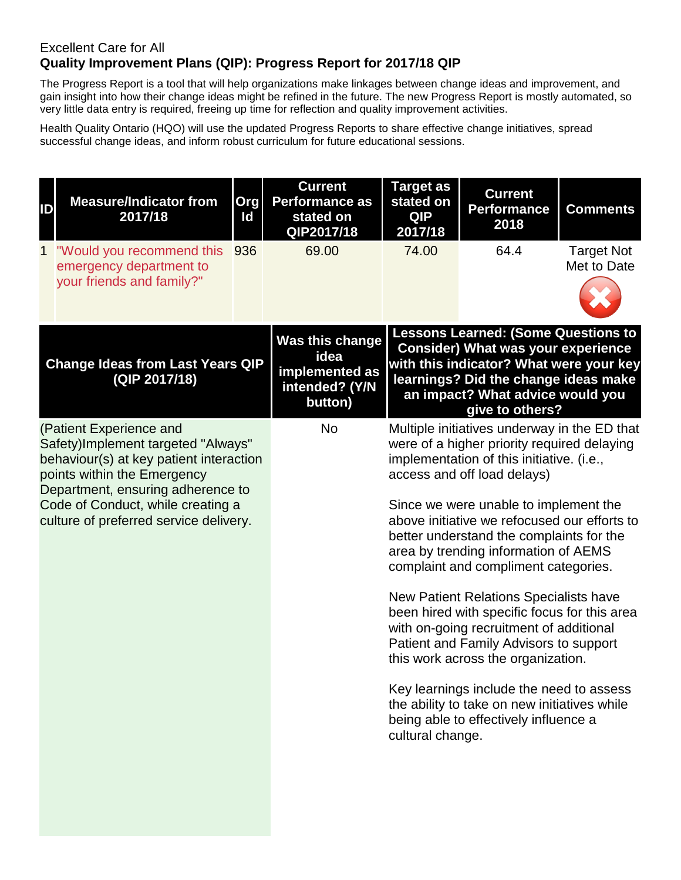## Excellent Care for All **Quality Improvement Plans (QIP): Progress Report for 2017/18 QIP**

The Progress Report is a tool that will help organizations make linkages between change ideas and improvement, and gain insight into how their change ideas might be refined in the future. The new Progress Report is mostly automated, so very little data entry is required, freeing up time for reflection and quality improvement activities.

Health Quality Ontario (HQO) will use the updated Progress Reports to share effective change initiatives, spread successful change ideas, and inform robust curriculum for future educational sessions.

| ID          | <b>Measure/Indicator from</b><br>2017/18                                                                                                                                                                                                                    | Org<br>Id | <b>Current</b><br><b>Performance as</b><br>stated on<br>QIP2017/18     | <b>Target as</b><br>stated on<br><b>QIP</b><br>2017/18                                                                                                                                                                                                                                                                                                                                                                                 | <b>Current</b><br><b>Performance</b><br>2018                                                                                                                                                                                      | <b>Comments</b>                  |  |
|-------------|-------------------------------------------------------------------------------------------------------------------------------------------------------------------------------------------------------------------------------------------------------------|-----------|------------------------------------------------------------------------|----------------------------------------------------------------------------------------------------------------------------------------------------------------------------------------------------------------------------------------------------------------------------------------------------------------------------------------------------------------------------------------------------------------------------------------|-----------------------------------------------------------------------------------------------------------------------------------------------------------------------------------------------------------------------------------|----------------------------------|--|
| $\mathbf 1$ | "Would you recommend this<br>emergency department to                                                                                                                                                                                                        | 936       | 69.00                                                                  | 74.00                                                                                                                                                                                                                                                                                                                                                                                                                                  | 64.4                                                                                                                                                                                                                              | <b>Target Not</b><br>Met to Date |  |
|             | your friends and family?"                                                                                                                                                                                                                                   |           |                                                                        |                                                                                                                                                                                                                                                                                                                                                                                                                                        |                                                                                                                                                                                                                                   |                                  |  |
|             | <b>Change Ideas from Last Years QIP</b><br>(QIP 2017/18)                                                                                                                                                                                                    |           | Was this change<br>idea<br>implemented as<br>intended? (Y/N<br>button) |                                                                                                                                                                                                                                                                                                                                                                                                                                        | <b>Lessons Learned: (Some Questions to</b><br><b>Consider) What was your experience</b><br>with this indicator? What were your key<br>learnings? Did the change ideas make<br>an impact? What advice would you<br>give to others? |                                  |  |
|             | (Patient Experience and<br>Safety)Implement targeted "Always"<br>behaviour(s) at key patient interaction<br>points within the Emergency<br>Department, ensuring adherence to<br>Code of Conduct, while creating a<br>culture of preferred service delivery. |           | <b>No</b>                                                              | Multiple initiatives underway in the ED that<br>were of a higher priority required delaying<br>implementation of this initiative. (i.e.,<br>access and off load delays)<br>Since we were unable to implement the<br>above initiative we refocused our efforts to<br>better understand the complaints for the<br>area by trending information of AEMS<br>complaint and compliment categories.<br>New Patient Relations Specialists have |                                                                                                                                                                                                                                   |                                  |  |
|             |                                                                                                                                                                                                                                                             |           |                                                                        |                                                                                                                                                                                                                                                                                                                                                                                                                                        | been hired with specific focus for this area<br>with on-going recruitment of additional<br>Patient and Family Advisors to support<br>this work across the organization.                                                           |                                  |  |
|             |                                                                                                                                                                                                                                                             |           |                                                                        | cultural change.                                                                                                                                                                                                                                                                                                                                                                                                                       | Key learnings include the need to assess<br>the ability to take on new initiatives while<br>being able to effectively influence a                                                                                                 |                                  |  |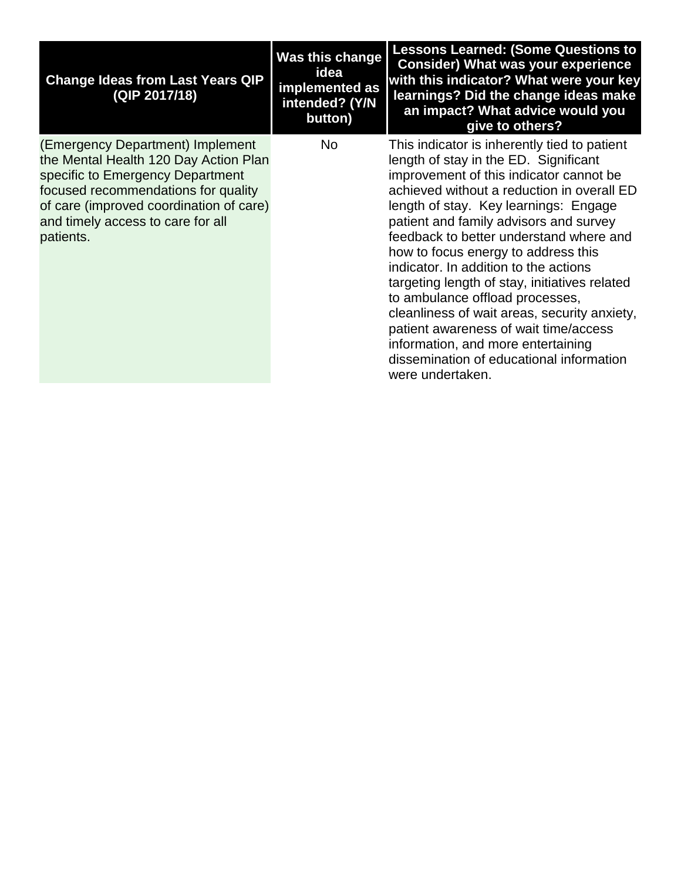| <b>Change Ideas from Last Years QIP</b><br>(QIP 2017/18)                                                                                                                                                                                          | Was this change<br>idea<br>implemented as<br>intended? (Y/N<br>button) | <b>Lessons Learned: (Some Questions to</b><br><b>Consider) What was your experience</b><br>with this indicator? What were your key<br>learnings? Did the change ideas make<br>an impact? What advice would you<br>give to others?                                                                                                                                                                                                                                                                                                                                                                                                                                               |
|---------------------------------------------------------------------------------------------------------------------------------------------------------------------------------------------------------------------------------------------------|------------------------------------------------------------------------|---------------------------------------------------------------------------------------------------------------------------------------------------------------------------------------------------------------------------------------------------------------------------------------------------------------------------------------------------------------------------------------------------------------------------------------------------------------------------------------------------------------------------------------------------------------------------------------------------------------------------------------------------------------------------------|
| (Emergency Department) Implement<br>the Mental Health 120 Day Action Plan<br>specific to Emergency Department<br>focused recommendations for quality<br>of care (improved coordination of care)<br>and timely access to care for all<br>patients. | <b>No</b>                                                              | This indicator is inherently tied to patient<br>length of stay in the ED. Significant<br>improvement of this indicator cannot be<br>achieved without a reduction in overall ED<br>length of stay. Key learnings: Engage<br>patient and family advisors and survey<br>feedback to better understand where and<br>how to focus energy to address this<br>indicator. In addition to the actions<br>targeting length of stay, initiatives related<br>to ambulance offload processes,<br>cleanliness of wait areas, security anxiety,<br>patient awareness of wait time/access<br>information, and more entertaining<br>dissemination of educational information<br>were undertaken. |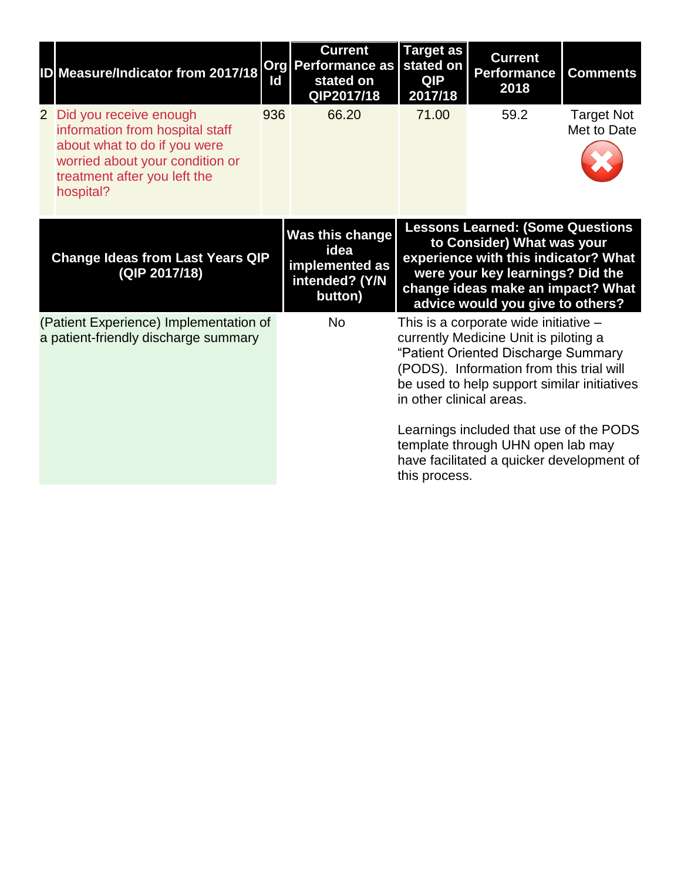| ID Measure/Indicator from 2017/18                                                                                                                                           | Id  | <b>Current</b><br><b>Org Performance as</b><br>stated on<br>QIP2017/18 | <b>Target as</b><br>stated on<br><b>QIP</b><br>2017/18 | <b>Current</b><br><b>Performance</b><br>2018                                                                                                                                                                               | <b>Comments</b>                  |
|-----------------------------------------------------------------------------------------------------------------------------------------------------------------------------|-----|------------------------------------------------------------------------|--------------------------------------------------------|----------------------------------------------------------------------------------------------------------------------------------------------------------------------------------------------------------------------------|----------------------------------|
| 2 Did you receive enough<br>information from hospital staff<br>about what to do if you were<br>worried about your condition or<br>treatment after you left the<br>hospital? | 936 | 66.20                                                                  | 71.00                                                  | 59.2                                                                                                                                                                                                                       | <b>Target Not</b><br>Met to Date |
| <b>Change Ideas from Last Years QIP</b><br>(QIP 2017/18)                                                                                                                    |     | Was this change<br>idea<br>implemented as<br>intended? (Y/N<br>button) |                                                        | <b>Lessons Learned: (Some Questions</b><br>to Consider) What was your<br>experience with this indicator? What<br>were your key learnings? Did the<br>change ideas make an impact? What<br>advice would you give to others? |                                  |
| (Patient Experience) Implementation of<br>a patient-friendly discharge summary                                                                                              |     | <b>No</b>                                                              | in other clinical areas.                               | This is a corporate wide initiative -<br>currently Medicine Unit is piloting a<br>"Patient Oriented Discharge Summary<br>(PODS). Information from this trial will<br>be used to help support similar initiatives           |                                  |
|                                                                                                                                                                             |     |                                                                        | this process.                                          | Learnings included that use of the PODS<br>template through UHN open lab may<br>have facilitated a quicker development of                                                                                                  |                                  |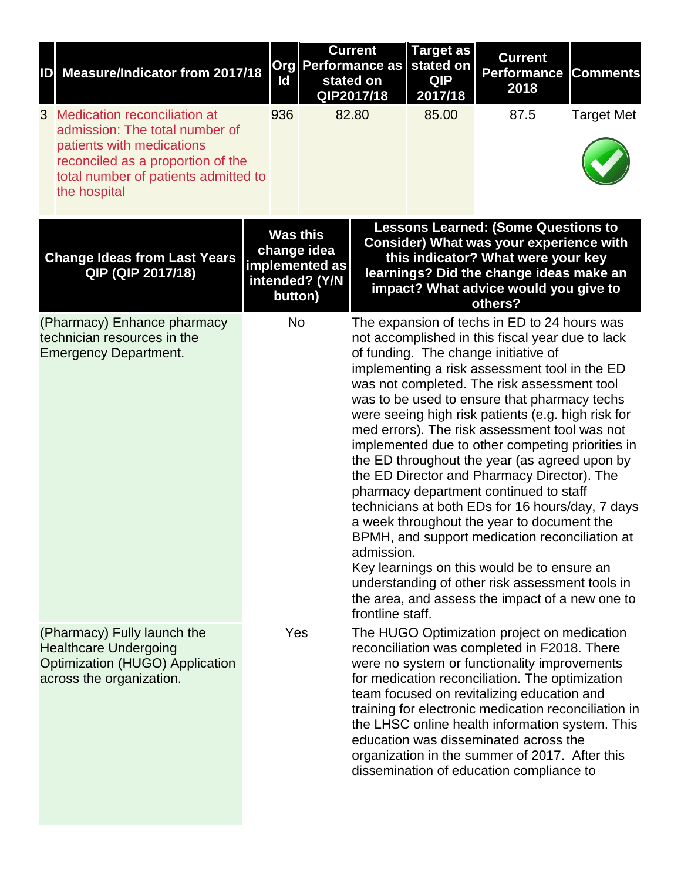| ID | <b>Measure/Indicator from 2017/18</b>                                                                                                                                                      | ld  |                                                                               | <b>Current</b><br><b>Org Performance as</b><br>stated on<br>QIP2017/18 | <b>Target as</b><br>stated on<br><b>QIP</b><br>2017/18 | <b>Current</b><br><b>Performance</b><br>2018                                                                                                                                                                                                                                                                                                                                                                                                                                                                                                                                                                                                                                                                                                                                                                                                                                                           | <b>Comments</b>   |
|----|--------------------------------------------------------------------------------------------------------------------------------------------------------------------------------------------|-----|-------------------------------------------------------------------------------|------------------------------------------------------------------------|--------------------------------------------------------|--------------------------------------------------------------------------------------------------------------------------------------------------------------------------------------------------------------------------------------------------------------------------------------------------------------------------------------------------------------------------------------------------------------------------------------------------------------------------------------------------------------------------------------------------------------------------------------------------------------------------------------------------------------------------------------------------------------------------------------------------------------------------------------------------------------------------------------------------------------------------------------------------------|-------------------|
|    | 3 Medication reconciliation at<br>admission: The total number of<br>patients with medications<br>reconciled as a proportion of the<br>total number of patients admitted to<br>the hospital | 936 |                                                                               | 82.80                                                                  | 85.00                                                  | 87.5                                                                                                                                                                                                                                                                                                                                                                                                                                                                                                                                                                                                                                                                                                                                                                                                                                                                                                   | <b>Target Met</b> |
|    | <b>Change Ideas from Last Years</b><br>QIP (QIP 2017/18)                                                                                                                                   |     | <b>Was this</b><br>change idea<br>implemented as<br>intended? (Y/N<br>button) |                                                                        |                                                        | <b>Lessons Learned: (Some Questions to</b><br><b>Consider) What was your experience with</b><br>this indicator? What were your key<br>learnings? Did the change ideas make an<br>impact? What advice would you give to<br>others?                                                                                                                                                                                                                                                                                                                                                                                                                                                                                                                                                                                                                                                                      |                   |
|    | (Pharmacy) Enhance pharmacy<br>technician resources in the<br><b>Emergency Department.</b>                                                                                                 |     | No                                                                            | admission.<br>frontline staff.                                         |                                                        | The expansion of techs in ED to 24 hours was<br>not accomplished in this fiscal year due to lack<br>of funding. The change initiative of<br>implementing a risk assessment tool in the ED<br>was not completed. The risk assessment tool<br>was to be used to ensure that pharmacy techs<br>were seeing high risk patients (e.g. high risk for<br>med errors). The risk assessment tool was not<br>implemented due to other competing priorities in<br>the ED throughout the year (as agreed upon by<br>the ED Director and Pharmacy Director). The<br>pharmacy department continued to staff<br>technicians at both EDs for 16 hours/day, 7 days<br>a week throughout the year to document the<br>BPMH, and support medication reconciliation at<br>Key learnings on this would be to ensure an<br>understanding of other risk assessment tools in<br>the area, and assess the impact of a new one to |                   |
|    | (Pharmacy) Fully launch the<br><b>Healthcare Undergoing</b><br>Optimization (HUGO) Application<br>across the organization.                                                                 |     | Yes                                                                           |                                                                        |                                                        | The HUGO Optimization project on medication<br>reconciliation was completed in F2018. There<br>were no system or functionality improvements<br>for medication reconciliation. The optimization<br>team focused on revitalizing education and<br>training for electronic medication reconciliation in<br>the LHSC online health information system. This<br>education was disseminated across the<br>organization in the summer of 2017. After this<br>dissemination of education compliance to                                                                                                                                                                                                                                                                                                                                                                                                         |                   |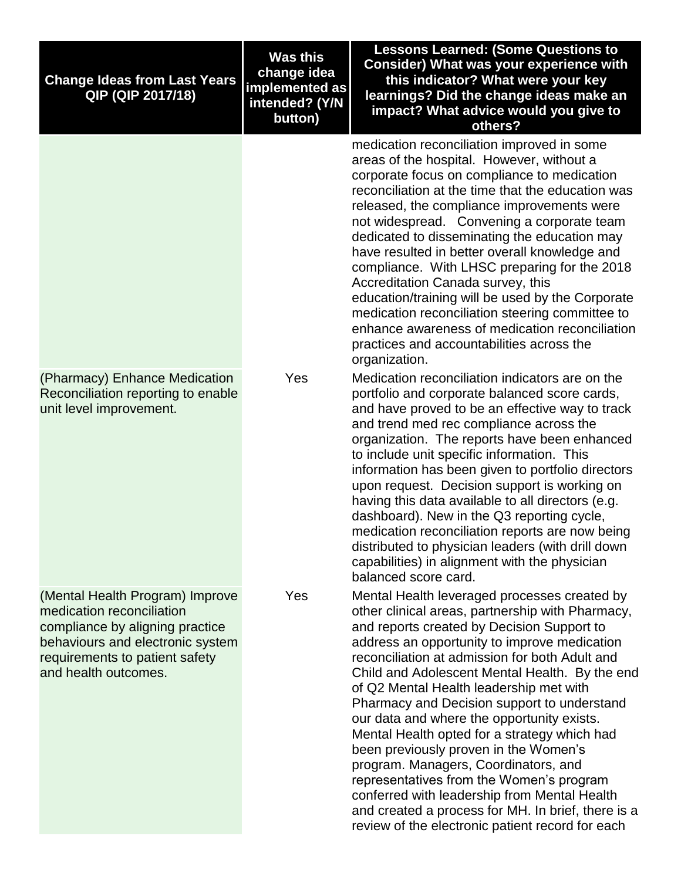| <b>Change Ideas from Last Years</b><br>QIP (QIP 2017/18)                                                                                                                                      | <b>Was this</b><br>change idea<br>implemented as<br>intended? (Y/N<br>button) | <b>Lessons Learned: (Some Questions to</b><br>Consider) What was your experience with<br>this indicator? What were your key<br>learnings? Did the change ideas make an<br>impact? What advice would you give to<br>others?                                                                                                                                                                                                                                                                                                                                                                                                                                                                                                                                                        |
|-----------------------------------------------------------------------------------------------------------------------------------------------------------------------------------------------|-------------------------------------------------------------------------------|-----------------------------------------------------------------------------------------------------------------------------------------------------------------------------------------------------------------------------------------------------------------------------------------------------------------------------------------------------------------------------------------------------------------------------------------------------------------------------------------------------------------------------------------------------------------------------------------------------------------------------------------------------------------------------------------------------------------------------------------------------------------------------------|
|                                                                                                                                                                                               |                                                                               | medication reconciliation improved in some<br>areas of the hospital. However, without a<br>corporate focus on compliance to medication<br>reconciliation at the time that the education was<br>released, the compliance improvements were<br>not widespread. Convening a corporate team<br>dedicated to disseminating the education may<br>have resulted in better overall knowledge and<br>compliance. With LHSC preparing for the 2018<br>Accreditation Canada survey, this<br>education/training will be used by the Corporate<br>medication reconciliation steering committee to<br>enhance awareness of medication reconciliation<br>practices and accountabilities across the<br>organization.                                                                              |
| (Pharmacy) Enhance Medication<br>Reconciliation reporting to enable<br>unit level improvement.                                                                                                | Yes                                                                           | Medication reconciliation indicators are on the<br>portfolio and corporate balanced score cards,<br>and have proved to be an effective way to track<br>and trend med rec compliance across the<br>organization. The reports have been enhanced<br>to include unit specific information. This<br>information has been given to portfolio directors<br>upon request. Decision support is working on<br>having this data available to all directors (e.g.<br>dashboard). New in the Q3 reporting cycle,<br>medication reconciliation reports are now being<br>distributed to physician leaders (with drill down<br>capabilities) in alignment with the physician<br>balanced score card.                                                                                             |
| (Mental Health Program) Improve<br>medication reconciliation<br>compliance by aligning practice<br>behaviours and electronic system<br>requirements to patient safety<br>and health outcomes. | Yes                                                                           | Mental Health leveraged processes created by<br>other clinical areas, partnership with Pharmacy,<br>and reports created by Decision Support to<br>address an opportunity to improve medication<br>reconciliation at admission for both Adult and<br>Child and Adolescent Mental Health. By the end<br>of Q2 Mental Health leadership met with<br>Pharmacy and Decision support to understand<br>our data and where the opportunity exists.<br>Mental Health opted for a strategy which had<br>been previously proven in the Women's<br>program. Managers, Coordinators, and<br>representatives from the Women's program<br>conferred with leadership from Mental Health<br>and created a process for MH. In brief, there is a<br>review of the electronic patient record for each |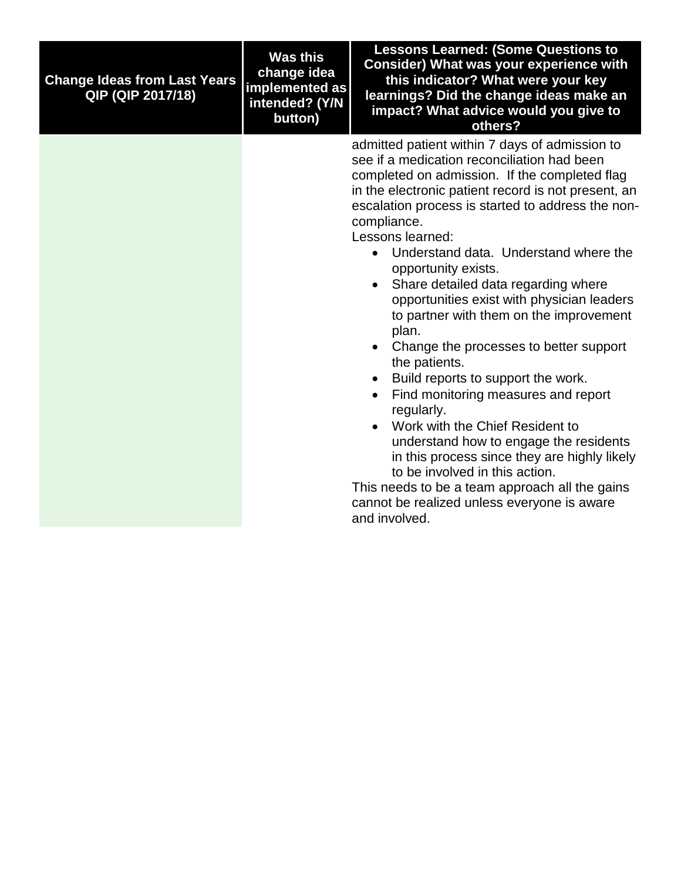| <b>Change Ideas from Last Years</b><br>QIP (QIP 2017/18) | <b>Was this</b><br>change idea<br>implemented as<br>intended? (Y/N<br>button) | <b>Lessons Learned: (Some Questions to</b><br>Consider) What was your experience with<br>this indicator? What were your key<br>learnings? Did the change ideas make an<br>impact? What advice would you give to<br>others?                                                                                                                                                                                                                                                                                                                                                                                                                                                                                                                                                                                                                                                                                                                                                                                       |
|----------------------------------------------------------|-------------------------------------------------------------------------------|------------------------------------------------------------------------------------------------------------------------------------------------------------------------------------------------------------------------------------------------------------------------------------------------------------------------------------------------------------------------------------------------------------------------------------------------------------------------------------------------------------------------------------------------------------------------------------------------------------------------------------------------------------------------------------------------------------------------------------------------------------------------------------------------------------------------------------------------------------------------------------------------------------------------------------------------------------------------------------------------------------------|
|                                                          |                                                                               | admitted patient within 7 days of admission to<br>see if a medication reconciliation had been<br>completed on admission. If the completed flag<br>in the electronic patient record is not present, an<br>escalation process is started to address the non-<br>compliance.<br>Lessons learned:<br>• Understand data. Understand where the<br>opportunity exists.<br>Share detailed data regarding where<br>$\bullet$<br>opportunities exist with physician leaders<br>to partner with them on the improvement<br>plan.<br>Change the processes to better support<br>$\bullet$<br>the patients.<br>Build reports to support the work.<br>$\bullet$<br>Find monitoring measures and report<br>$\bullet$<br>regularly.<br>Work with the Chief Resident to<br>$\bullet$<br>understand how to engage the residents<br>in this process since they are highly likely<br>to be involved in this action.<br>This needs to be a team approach all the gains<br>cannot be realized unless everyone is aware<br>and involved. |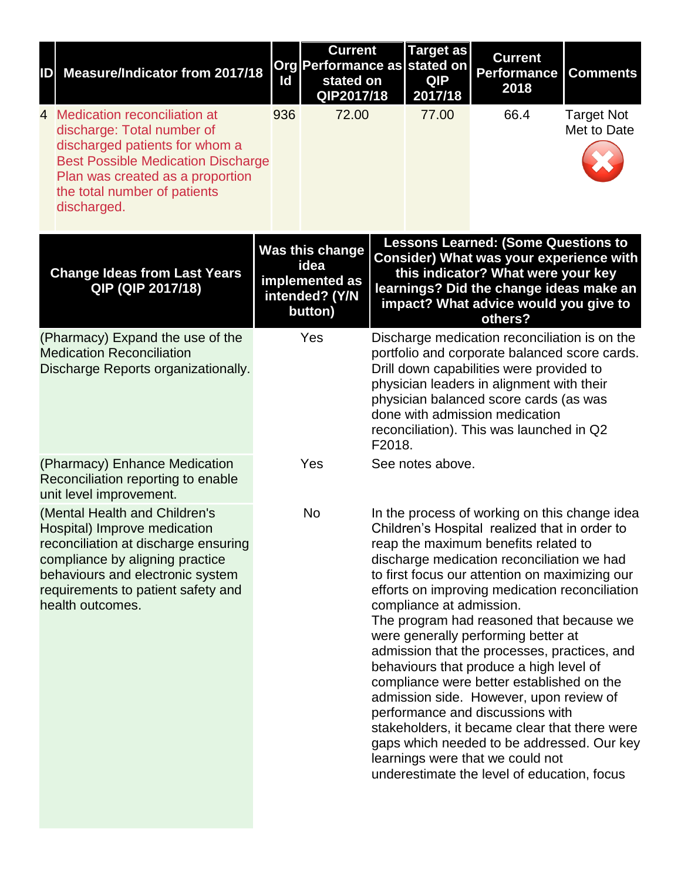| ID | <b>Measure/Indicator from 2017/18</b>                                                                                                                                                                                                  | Id  | <b>Current</b><br>Org Performance as<br>stated on<br>QIP2017/18        |        | <b>Target as</b><br>stated on<br><b>QIP</b><br>2017/18 | <b>Current</b><br><b>Performance</b><br>2018                                                                                                                                                                                                                                                                                                                                                                                                                                                                                                                                                                                                                                                                                                                                         | <b>Comments</b>                  |
|----|----------------------------------------------------------------------------------------------------------------------------------------------------------------------------------------------------------------------------------------|-----|------------------------------------------------------------------------|--------|--------------------------------------------------------|--------------------------------------------------------------------------------------------------------------------------------------------------------------------------------------------------------------------------------------------------------------------------------------------------------------------------------------------------------------------------------------------------------------------------------------------------------------------------------------------------------------------------------------------------------------------------------------------------------------------------------------------------------------------------------------------------------------------------------------------------------------------------------------|----------------------------------|
|    | 4 Medication reconciliation at<br>discharge: Total number of<br>discharged patients for whom a<br><b>Best Possible Medication Discharge</b><br>Plan was created as a proportion<br>the total number of patients<br>discharged.         | 936 | 72.00                                                                  |        | 77.00                                                  | 66.4                                                                                                                                                                                                                                                                                                                                                                                                                                                                                                                                                                                                                                                                                                                                                                                 | <b>Target Not</b><br>Met to Date |
|    | <b>Change Ideas from Last Years</b><br>QIP (QIP 2017/18)                                                                                                                                                                               |     | Was this change<br>idea<br>implemented as<br>intended? (Y/N<br>button) |        |                                                        | <b>Lessons Learned: (Some Questions to</b><br>Consider) What was your experience with<br>this indicator? What were your key<br>learnings? Did the change ideas make an<br>impact? What advice would you give to<br>others?                                                                                                                                                                                                                                                                                                                                                                                                                                                                                                                                                           |                                  |
|    | (Pharmacy) Expand the use of the<br><b>Medication Reconciliation</b><br>Discharge Reports organizationally.                                                                                                                            |     | Yes                                                                    | F2018. |                                                        | Discharge medication reconciliation is on the<br>portfolio and corporate balanced score cards.<br>Drill down capabilities were provided to<br>physician leaders in alignment with their<br>physician balanced score cards (as was<br>done with admission medication<br>reconciliation). This was launched in Q2                                                                                                                                                                                                                                                                                                                                                                                                                                                                      |                                  |
|    | (Pharmacy) Enhance Medication<br>Reconciliation reporting to enable<br>unit level improvement.                                                                                                                                         |     | Yes                                                                    |        | See notes above.                                       |                                                                                                                                                                                                                                                                                                                                                                                                                                                                                                                                                                                                                                                                                                                                                                                      |                                  |
|    | (Mental Health and Children's<br>Hospital) Improve medication<br>reconciliation at discharge ensuring<br>compliance by aligning practice<br>behaviours and electronic system<br>requirements to patient safety and<br>health outcomes. |     | <b>No</b>                                                              |        | compliance at admission.                               | In the process of working on this change idea<br>Children's Hospital realized that in order to<br>reap the maximum benefits related to<br>discharge medication reconciliation we had<br>to first focus our attention on maximizing our<br>efforts on improving medication reconciliation<br>The program had reasoned that because we<br>were generally performing better at<br>admission that the processes, practices, and<br>behaviours that produce a high level of<br>compliance were better established on the<br>admission side. However, upon review of<br>performance and discussions with<br>stakeholders, it became clear that there were<br>gaps which needed to be addressed. Our key<br>learnings were that we could not<br>underestimate the level of education, focus |                                  |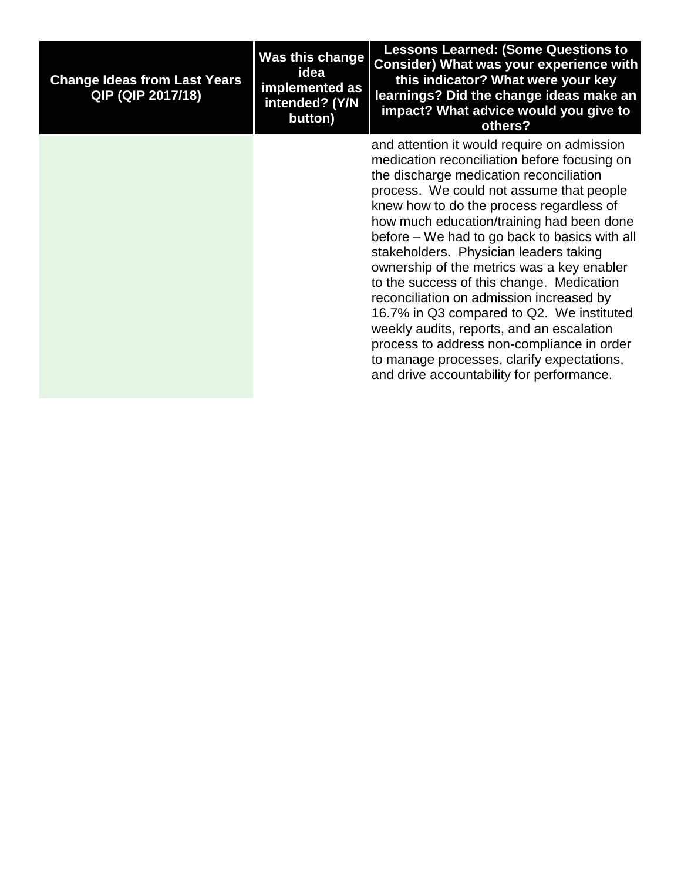| <b>Change Ideas from Last Years</b><br><b>QIP (QIP 2017/18)</b> | Was this change<br>idea<br>implemented as<br>intended? (Y/N<br>button) | <b>Lessons Learned: (Some Questions to</b><br>Consider) What was your experience with<br>this indicator? What were your key<br>learnings? Did the change ideas make an<br>impact? What advice would you give to<br>others?                                                                                                                                                                                                                                                                                                                                                                                                                                                                                                                       |
|-----------------------------------------------------------------|------------------------------------------------------------------------|--------------------------------------------------------------------------------------------------------------------------------------------------------------------------------------------------------------------------------------------------------------------------------------------------------------------------------------------------------------------------------------------------------------------------------------------------------------------------------------------------------------------------------------------------------------------------------------------------------------------------------------------------------------------------------------------------------------------------------------------------|
|                                                                 |                                                                        | and attention it would require on admission<br>medication reconciliation before focusing on<br>the discharge medication reconciliation<br>process. We could not assume that people<br>knew how to do the process regardless of<br>how much education/training had been done<br>before – We had to go back to basics with all<br>stakeholders. Physician leaders taking<br>ownership of the metrics was a key enabler<br>to the success of this change. Medication<br>reconciliation on admission increased by<br>16.7% in Q3 compared to Q2. We instituted<br>weekly audits, reports, and an escalation<br>process to address non-compliance in order<br>to manage processes, clarify expectations,<br>and drive accountability for performance. |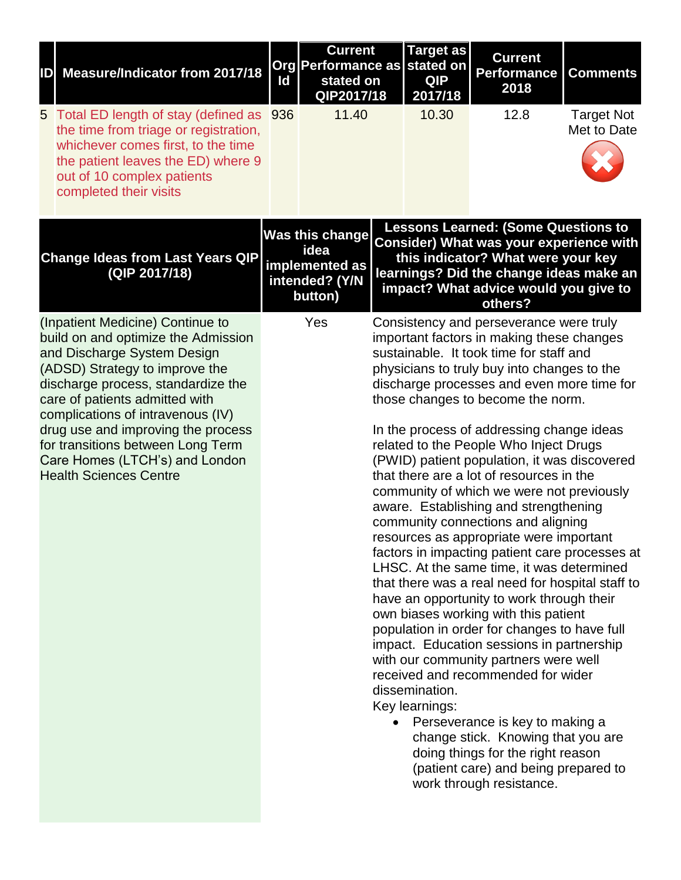| ID | <b>Measure/Indicator from 2017/18</b>                                                                                                                                                                                                                                                                                                                                                               | ld  | <b>Current</b><br><b>Org Performance as</b><br>stated on<br>QIP2017/18        | <b>Target as</b><br>stated on<br><b>QIP</b><br>2017/18 | <b>Current</b><br><b>Performance</b><br>2018                                                                                                                                                                                                                                                                                                                                                                                                                                                                                                                                                                                                                                                                                                                                                                                                                                                                                                                                                                                                                                                                                                                                                                                      | <b>Comments</b>                  |
|----|-----------------------------------------------------------------------------------------------------------------------------------------------------------------------------------------------------------------------------------------------------------------------------------------------------------------------------------------------------------------------------------------------------|-----|-------------------------------------------------------------------------------|--------------------------------------------------------|-----------------------------------------------------------------------------------------------------------------------------------------------------------------------------------------------------------------------------------------------------------------------------------------------------------------------------------------------------------------------------------------------------------------------------------------------------------------------------------------------------------------------------------------------------------------------------------------------------------------------------------------------------------------------------------------------------------------------------------------------------------------------------------------------------------------------------------------------------------------------------------------------------------------------------------------------------------------------------------------------------------------------------------------------------------------------------------------------------------------------------------------------------------------------------------------------------------------------------------|----------------------------------|
| 5  | Total ED length of stay (defined as<br>the time from triage or registration,<br>whichever comes first, to the time<br>the patient leaves the ED) where 9<br>out of 10 complex patients<br>completed their visits                                                                                                                                                                                    | 936 | 11.40                                                                         | 10.30                                                  | 12.8                                                                                                                                                                                                                                                                                                                                                                                                                                                                                                                                                                                                                                                                                                                                                                                                                                                                                                                                                                                                                                                                                                                                                                                                                              | <b>Target Not</b><br>Met to Date |
|    | <b>Change Ideas from Last Years QIP</b><br>(QIP 2017/18)                                                                                                                                                                                                                                                                                                                                            |     | <b>Was this change</b><br>idea<br>implemented as<br>intended? (Y/N<br>button) |                                                        | <b>Lessons Learned: (Some Questions to</b><br><b>Consider) What was your experience with</b><br>this indicator? What were your key<br>learnings? Did the change ideas make an<br>impact? What advice would you give to<br>others?                                                                                                                                                                                                                                                                                                                                                                                                                                                                                                                                                                                                                                                                                                                                                                                                                                                                                                                                                                                                 |                                  |
|    | (Inpatient Medicine) Continue to<br>build on and optimize the Admission<br>and Discharge System Design<br>(ADSD) Strategy to improve the<br>discharge process, standardize the<br>care of patients admitted with<br>complications of intravenous (IV)<br>drug use and improving the process<br>for transitions between Long Term<br>Care Homes (LTCH's) and London<br><b>Health Sciences Centre</b> |     | Yes                                                                           | dissemination.<br>Key learnings:                       | Consistency and perseverance were truly<br>important factors in making these changes<br>sustainable. It took time for staff and<br>physicians to truly buy into changes to the<br>discharge processes and even more time for<br>those changes to become the norm.<br>In the process of addressing change ideas<br>related to the People Who Inject Drugs<br>(PWID) patient population, it was discovered<br>that there are a lot of resources in the<br>community of which we were not previously<br>aware. Establishing and strengthening<br>community connections and aligning<br>resources as appropriate were important<br>factors in impacting patient care processes at<br>LHSC. At the same time, it was determined<br>that there was a real need for hospital staff to<br>have an opportunity to work through their<br>own biases working with this patient<br>population in order for changes to have full<br>impact. Education sessions in partnership<br>with our community partners were well<br>received and recommended for wider<br>Perseverance is key to making a<br>change stick. Knowing that you are<br>doing things for the right reason<br>(patient care) and being prepared to<br>work through resistance. |                                  |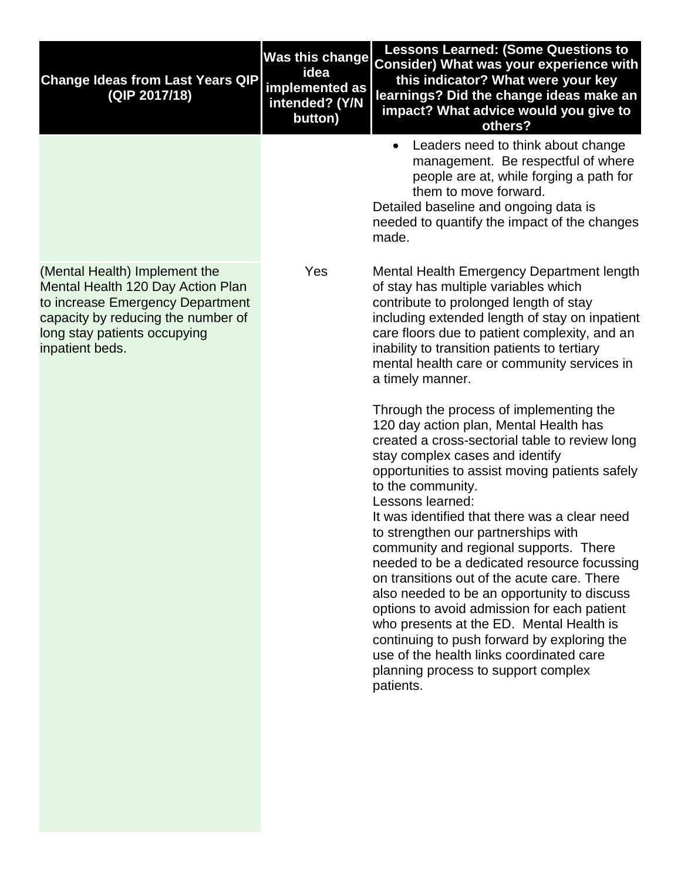| <b>Change Ideas from Last Years QIP</b><br>(QIP 2017/18)                                                                                                                                        | <b>Was this change</b><br>idea<br>implemented as<br>intended? (Y/N<br>button) | <b>Lessons Learned: (Some Questions to</b><br><b>Consider) What was your experience with</b><br>this indicator? What were your key<br>learnings? Did the change ideas make an<br>impact? What advice would you give to<br>others?                                                                                                                                                                                                                                                                                                                                                                                                                                                                                                                                                          |
|-------------------------------------------------------------------------------------------------------------------------------------------------------------------------------------------------|-------------------------------------------------------------------------------|--------------------------------------------------------------------------------------------------------------------------------------------------------------------------------------------------------------------------------------------------------------------------------------------------------------------------------------------------------------------------------------------------------------------------------------------------------------------------------------------------------------------------------------------------------------------------------------------------------------------------------------------------------------------------------------------------------------------------------------------------------------------------------------------|
|                                                                                                                                                                                                 |                                                                               | Leaders need to think about change<br>management. Be respectful of where<br>people are at, while forging a path for<br>them to move forward.<br>Detailed baseline and ongoing data is<br>needed to quantify the impact of the changes<br>made.                                                                                                                                                                                                                                                                                                                                                                                                                                                                                                                                             |
| (Mental Health) Implement the<br>Mental Health 120 Day Action Plan<br>to increase Emergency Department<br>capacity by reducing the number of<br>long stay patients occupying<br>inpatient beds. | Yes                                                                           | Mental Health Emergency Department length<br>of stay has multiple variables which<br>contribute to prolonged length of stay<br>including extended length of stay on inpatient<br>care floors due to patient complexity, and an<br>inability to transition patients to tertiary<br>mental health care or community services in<br>a timely manner.                                                                                                                                                                                                                                                                                                                                                                                                                                          |
|                                                                                                                                                                                                 |                                                                               | Through the process of implementing the<br>120 day action plan, Mental Health has<br>created a cross-sectorial table to review long<br>stay complex cases and identify<br>opportunities to assist moving patients safely<br>to the community.<br>Lessons learned:<br>It was identified that there was a clear need<br>to strengthen our partnerships with<br>community and regional supports. There<br>needed to be a dedicated resource focussing<br>on transitions out of the acute care. There<br>also needed to be an opportunity to discuss<br>options to avoid admission for each patient<br>who presents at the ED. Mental Health is<br>continuing to push forward by exploring the<br>use of the health links coordinated care<br>planning process to support complex<br>patients. |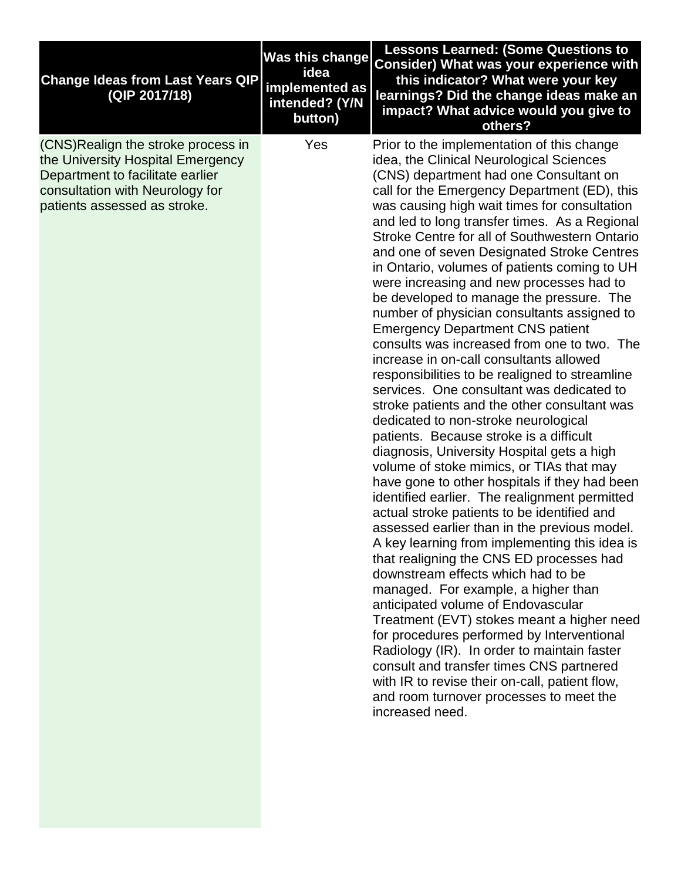| <b>Change Ideas from Last Years QIP</b><br>(QIP 2017/18)                                                                                                                        | <b>Was this change</b><br>idea<br>implemented as<br>intended? (Y/N<br>button) | <b>Lessons Learned: (Some Questions to</b><br>Consider) What was your experience with<br>this indicator? What were your key<br>learnings? Did the change ideas make an<br>impact? What advice would you give to<br>others?                                                                                                                                                                                                                                                                                                                                                                                                                                                                                                                                                                                                                                                                                                                                                                                                                                                                                                                                                                                                                                                                                                                                                                                                                                                                                                                                                                                                                                                                                                                                       |
|---------------------------------------------------------------------------------------------------------------------------------------------------------------------------------|-------------------------------------------------------------------------------|------------------------------------------------------------------------------------------------------------------------------------------------------------------------------------------------------------------------------------------------------------------------------------------------------------------------------------------------------------------------------------------------------------------------------------------------------------------------------------------------------------------------------------------------------------------------------------------------------------------------------------------------------------------------------------------------------------------------------------------------------------------------------------------------------------------------------------------------------------------------------------------------------------------------------------------------------------------------------------------------------------------------------------------------------------------------------------------------------------------------------------------------------------------------------------------------------------------------------------------------------------------------------------------------------------------------------------------------------------------------------------------------------------------------------------------------------------------------------------------------------------------------------------------------------------------------------------------------------------------------------------------------------------------------------------------------------------------------------------------------------------------|
| (CNS) Realign the stroke process in<br>the University Hospital Emergency<br>Department to facilitate earlier<br>consultation with Neurology for<br>patients assessed as stroke. | Yes                                                                           | Prior to the implementation of this change<br>idea, the Clinical Neurological Sciences<br>(CNS) department had one Consultant on<br>call for the Emergency Department (ED), this<br>was causing high wait times for consultation<br>and led to long transfer times. As a Regional<br>Stroke Centre for all of Southwestern Ontario<br>and one of seven Designated Stroke Centres<br>in Ontario, volumes of patients coming to UH<br>were increasing and new processes had to<br>be developed to manage the pressure. The<br>number of physician consultants assigned to<br><b>Emergency Department CNS patient</b><br>consults was increased from one to two. The<br>increase in on-call consultants allowed<br>responsibilities to be realigned to streamline<br>services. One consultant was dedicated to<br>stroke patients and the other consultant was<br>dedicated to non-stroke neurological<br>patients. Because stroke is a difficult<br>diagnosis, University Hospital gets a high<br>volume of stoke mimics, or TIAs that may<br>have gone to other hospitals if they had been<br>identified earlier. The realignment permitted<br>actual stroke patients to be identified and<br>assessed earlier than in the previous model.<br>A key learning from implementing this idea is<br>that realigning the CNS ED processes had<br>downstream effects which had to be<br>managed. For example, a higher than<br>anticipated volume of Endovascular<br>Treatment (EVT) stokes meant a higher need<br>for procedures performed by Interventional<br>Radiology (IR). In order to maintain faster<br>consult and transfer times CNS partnered<br>with IR to revise their on-call, patient flow,<br>and room turnover processes to meet the<br>increased need. |